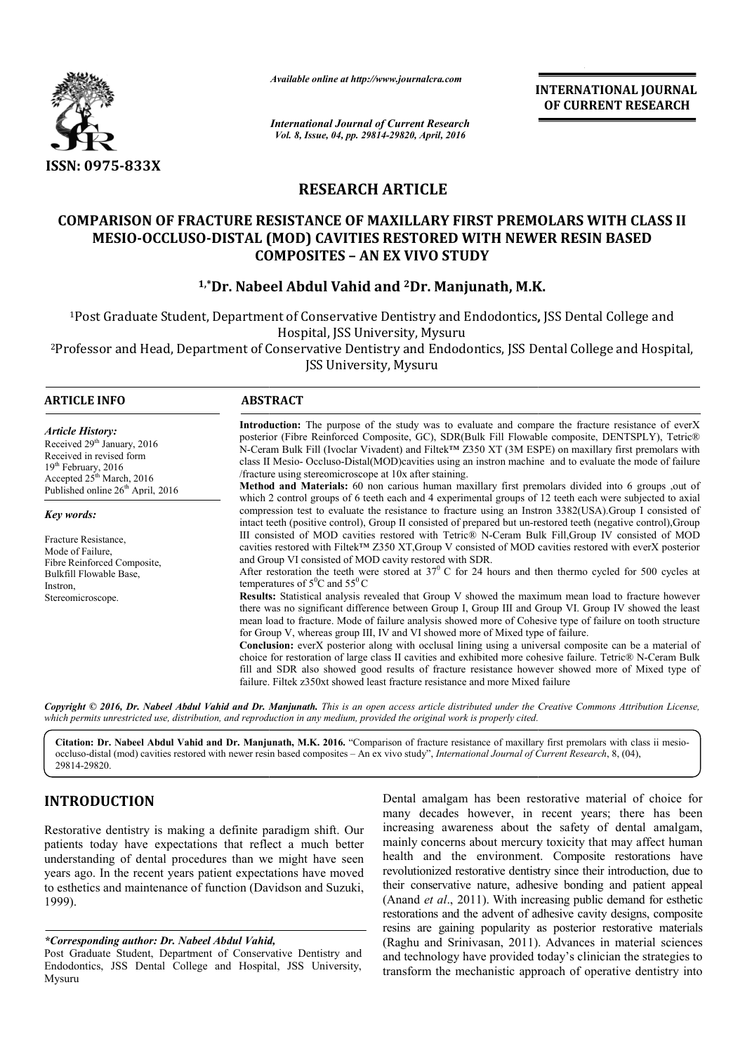

*Available online at http://www.journalcra.com*

## **RESEARCH ARTICLE**

# **COMPARISON OF FRACTURE RESISTANCE OF MAXILLARY FIRST PREMOLARS WITH CLASS II MESIO-OCCLUSO-DISTAL (MOD) CAVITIES RESTORED WITH NEWER RESIN BASED DISTAL – AN EX VIVO STUDY COMPOSITES 1,\*Dr. Nabeel Abdul Vahid and <sup>2</sup>Dr. Manjunath, M.K.**<br> **D-DISTAL (MOD) CAVITIES RESTORED WITH NEWE<br>
COMPOSITES - AN EX VIVO STUDY<br>
<sup>1,\*</sup>Dr. Nabeel Abdul Vahid and <sup>2</sup>Dr. Manjunath, M.K.**

|                                                                                                                                                                                                                                                                                                                                                                        | unuvic viinne ui nup://www.jvurnuicru.com                                                                                                                                                                                                                                                                                       |                         | <b>INTERNATIONAL JOURNAL</b><br>OF CURRENT RESEARCH                                                                                                                                                                                                                                                                                                                                                                                                                                                                                                                                                                                                                                                                                                                                                                                                                                                                                                                                                                                                                                                                                                                                                                                                                                                                                                                                                                                                                                                                                                                                                                                                                                                                                                                                                                                                                                                                                                                                                                                            |
|------------------------------------------------------------------------------------------------------------------------------------------------------------------------------------------------------------------------------------------------------------------------------------------------------------------------------------------------------------------------|---------------------------------------------------------------------------------------------------------------------------------------------------------------------------------------------------------------------------------------------------------------------------------------------------------------------------------|-------------------------|------------------------------------------------------------------------------------------------------------------------------------------------------------------------------------------------------------------------------------------------------------------------------------------------------------------------------------------------------------------------------------------------------------------------------------------------------------------------------------------------------------------------------------------------------------------------------------------------------------------------------------------------------------------------------------------------------------------------------------------------------------------------------------------------------------------------------------------------------------------------------------------------------------------------------------------------------------------------------------------------------------------------------------------------------------------------------------------------------------------------------------------------------------------------------------------------------------------------------------------------------------------------------------------------------------------------------------------------------------------------------------------------------------------------------------------------------------------------------------------------------------------------------------------------------------------------------------------------------------------------------------------------------------------------------------------------------------------------------------------------------------------------------------------------------------------------------------------------------------------------------------------------------------------------------------------------------------------------------------------------------------------------------------------------|
|                                                                                                                                                                                                                                                                                                                                                                        | <b>International Journal of Current Research</b><br>Vol. 8, Issue, 04, pp. 29814-29820, April, 2016                                                                                                                                                                                                                             |                         |                                                                                                                                                                                                                                                                                                                                                                                                                                                                                                                                                                                                                                                                                                                                                                                                                                                                                                                                                                                                                                                                                                                                                                                                                                                                                                                                                                                                                                                                                                                                                                                                                                                                                                                                                                                                                                                                                                                                                                                                                                                |
| ISSN: 0975-833X                                                                                                                                                                                                                                                                                                                                                        |                                                                                                                                                                                                                                                                                                                                 |                         |                                                                                                                                                                                                                                                                                                                                                                                                                                                                                                                                                                                                                                                                                                                                                                                                                                                                                                                                                                                                                                                                                                                                                                                                                                                                                                                                                                                                                                                                                                                                                                                                                                                                                                                                                                                                                                                                                                                                                                                                                                                |
|                                                                                                                                                                                                                                                                                                                                                                        |                                                                                                                                                                                                                                                                                                                                 | <b>RESEARCH ARTICLE</b> |                                                                                                                                                                                                                                                                                                                                                                                                                                                                                                                                                                                                                                                                                                                                                                                                                                                                                                                                                                                                                                                                                                                                                                                                                                                                                                                                                                                                                                                                                                                                                                                                                                                                                                                                                                                                                                                                                                                                                                                                                                                |
|                                                                                                                                                                                                                                                                                                                                                                        | MESIO-OCCLUSO-DISTAL (MOD) CAVITIES RESTORED WITH NEWER RESIN BASED<br><b>COMPOSITES - AN EX VIVO STUDY</b>                                                                                                                                                                                                                     |                         | <b>COMPARISON OF FRACTURE RESISTANCE OF MAXILLARY FIRST PREMOLARS WITH CLASS II</b>                                                                                                                                                                                                                                                                                                                                                                                                                                                                                                                                                                                                                                                                                                                                                                                                                                                                                                                                                                                                                                                                                                                                                                                                                                                                                                                                                                                                                                                                                                                                                                                                                                                                                                                                                                                                                                                                                                                                                            |
|                                                                                                                                                                                                                                                                                                                                                                        | <sup>1,*</sup> Dr. Nabeel Abdul Vahid and <sup>2</sup> Dr. Manjunath, M.K.                                                                                                                                                                                                                                                      |                         |                                                                                                                                                                                                                                                                                                                                                                                                                                                                                                                                                                                                                                                                                                                                                                                                                                                                                                                                                                                                                                                                                                                                                                                                                                                                                                                                                                                                                                                                                                                                                                                                                                                                                                                                                                                                                                                                                                                                                                                                                                                |
|                                                                                                                                                                                                                                                                                                                                                                        | <sup>1</sup> Post Graduate Student, Department of Conservative Dentistry and Endodontics, JSS Dental College and<br>Hospital, JSS University, Mysuru<br>JSS University, Mysuru                                                                                                                                                  |                         | <sup>2</sup> Professor and Head, Department of Conservative Dentistry and Endodontics, JSS Dental College and Hospital,                                                                                                                                                                                                                                                                                                                                                                                                                                                                                                                                                                                                                                                                                                                                                                                                                                                                                                                                                                                                                                                                                                                                                                                                                                                                                                                                                                                                                                                                                                                                                                                                                                                                                                                                                                                                                                                                                                                        |
| <b>ARTICLE INFO</b>                                                                                                                                                                                                                                                                                                                                                    | <b>ABSTRACT</b>                                                                                                                                                                                                                                                                                                                 |                         |                                                                                                                                                                                                                                                                                                                                                                                                                                                                                                                                                                                                                                                                                                                                                                                                                                                                                                                                                                                                                                                                                                                                                                                                                                                                                                                                                                                                                                                                                                                                                                                                                                                                                                                                                                                                                                                                                                                                                                                                                                                |
| <b>Article History:</b><br>Received 29 <sup>th</sup> January, 2016<br>Received in revised form<br>19 <sup>th</sup> February, 2016<br>Accepted 25 <sup>th</sup> March, 2016<br>Published online $26th$ April, 2016<br>Key words:<br>Fracture Resistance,<br>Mode of Failure,<br>Fibre Reinforced Composite,<br>Bulkfill Flowable Base,<br>Instron,<br>Stereomicroscope. | /fracture using stereomicroscope at 10x after staining.<br>and Group VI consisted of MOD cavity restored with SDR.<br>temperatures of $5^0C$ and $55^0C$<br>for Group V, whereas group III, IV and VI showed more of Mixed type of failure.<br>failure. Filtek z350xt showed least fracture resistance and more Mixed failure   |                         | Introduction: The purpose of the study was to evaluate and compare the fracture resistance of everX<br>posterior (Fibre Reinforced Composite, GC), SDR(Bulk Fill Flowable composite, DENTSPLY), Tetric®<br>N-Ceram Bulk Fill (Ivoclar Vivadent) and Filtek™ Z350 XT (3M ESPE) on maxillary first premolars with<br>class II Mesio- Occluso-Distal(MOD)cavities using an instron machine and to evaluate the mode of failure<br>Method and Materials: 60 non carious human maxillary first premolars divided into 6 groups ,out of<br>which 2 control groups of 6 teeth each and 4 experimental groups of 12 teeth each were subjected to axial<br>compression test to evaluate the resistance to fracture using an Instron 3382(USA).Group I consisted of<br>intact teeth (positive control), Group II consisted of prepared but un-restored teeth (negative control), Group<br>III consisted of MOD cavities restored with Tetric® N-Ceram Bulk Fill, Group IV consisted of MOD<br>cavities restored with Filtek™ Z350 XT, Group V consisted of MOD cavities restored with everX posterior<br>After restoration the teeth were stored at $37^{\circ}$ C for 24 hours and then thermo cycled for 500 cycles at<br>Results: Statistical analysis revealed that Group V showed the maximum mean load to fracture however<br>there was no significant difference between Group I, Group III and Group VI. Group IV showed the least<br>mean load to fracture. Mode of failure analysis showed more of Cohesive type of failure on tooth structure<br><b>Conclusion:</b> everX posterior along with occlusal lining using a universal composite can be a material of<br>choice for restoration of large class II cavities and exhibited more cohesive failure. Tetric® N-Ceram Bulk<br>fill and SDR also showed good results of fracture resistance however showed more of Mixed type of<br>Copyright © 2016, Dr. Nabeel Abdul Vahid and Dr. Manjunath. This is an open access article distributed under the Creative Commons Attribution License, |
| 29814-29820.                                                                                                                                                                                                                                                                                                                                                           | which permits unrestricted use, distribution, and reproduction in any medium, provided the original work is properly cited.<br>occluso-distal (mod) cavities restored with newer resin based composites – An ex vivo study", International Journal of Current Research, 8, (04),                                                |                         | Citation: Dr. Nabeel Abdul Vahid and Dr. Manjunath, M.K. 2016. "Comparison of fracture resistance of maxillary first premolars with class ii mesio-                                                                                                                                                                                                                                                                                                                                                                                                                                                                                                                                                                                                                                                                                                                                                                                                                                                                                                                                                                                                                                                                                                                                                                                                                                                                                                                                                                                                                                                                                                                                                                                                                                                                                                                                                                                                                                                                                            |
| <b>INTRODUCTION</b>                                                                                                                                                                                                                                                                                                                                                    |                                                                                                                                                                                                                                                                                                                                 |                         | Dental amalgam has been restorative material of choice for<br>many decades however, in recent years; there has been                                                                                                                                                                                                                                                                                                                                                                                                                                                                                                                                                                                                                                                                                                                                                                                                                                                                                                                                                                                                                                                                                                                                                                                                                                                                                                                                                                                                                                                                                                                                                                                                                                                                                                                                                                                                                                                                                                                            |
| 1999).                                                                                                                                                                                                                                                                                                                                                                 | Restorative dentistry is making a definite paradigm shift. Our<br>patients today have expectations that reflect a much better<br>understanding of dental procedures than we might have seen<br>years ago. In the recent years patient expectations have moved<br>to esthetics and maintenance of function (Davidson and Suzuki, |                         | increasing awareness about the safety of dental amalgam,<br>mainly concerns about mercury toxicity that may affect human<br>health and the environment. Composite restorations have<br>revolutionized restorative dentistry since their introduction, due to<br>their conservative nature, adhesive bonding and patient appeal<br>(Anand et al., 2011). With increasing public demand for esthetic<br>restorations and the advent of adhesive cavity designs, composite<br>resins are gaining popularity as posterior restorative materials                                                                                                                                                                                                                                                                                                                                                                                                                                                                                                                                                                                                                                                                                                                                                                                                                                                                                                                                                                                                                                                                                                                                                                                                                                                                                                                                                                                                                                                                                                    |
| *Corresponding author: Dr. Nabeel Abdul Vahid,                                                                                                                                                                                                                                                                                                                         | Post Graduate Student, Department of Conservative Dentistry and                                                                                                                                                                                                                                                                 |                         | (Raghu and Srinivasan, 2011). Advances in material sciences<br>and technology have provided today's clinician the strategies to                                                                                                                                                                                                                                                                                                                                                                                                                                                                                                                                                                                                                                                                                                                                                                                                                                                                                                                                                                                                                                                                                                                                                                                                                                                                                                                                                                                                                                                                                                                                                                                                                                                                                                                                                                                                                                                                                                                |

## **INTRODUCTION**

#### *\*Corresponding author: Dr. Nabeel Abdul Vahid,*

Post Graduate Student, Department of Conservative Dentistry and Endodontics, JSS Dental College and Hospital, JSS University, Mysuru

Dental amalgam has been restorative material of choice for many decades however, in recent years; there has been increasing awareness about the safety of dental amalgam, mainly concerns about mercury toxicity that may affect human many decades however, in recent years; there has been increasing awareness about the safety of dental amalgam, mainly concerns about mercury toxicity that may affect human health and the environment. Composite restorations revolutionized restorative dentistry since their introduction, due to their conservative nature, adhesive bonding and patient appeal (Anand *et al*., 2011). With increasing public demand for esthetic revolutionized restorative dentistry since their introduction, due to<br>their conservative nature, adhesive bonding and patient appeal<br>(Anand *et al.*, 2011). With increasing public demand for esthetic<br>restorations and the a resins are gaining popularity as posterior restorative materials resins are gaining popularity as posterior restorative materials (Raghu and Srinivasan, 2011). Advances in material sciences and technology have provided today's clinician the strategies to transform the mechanistic approach of operative dentistry into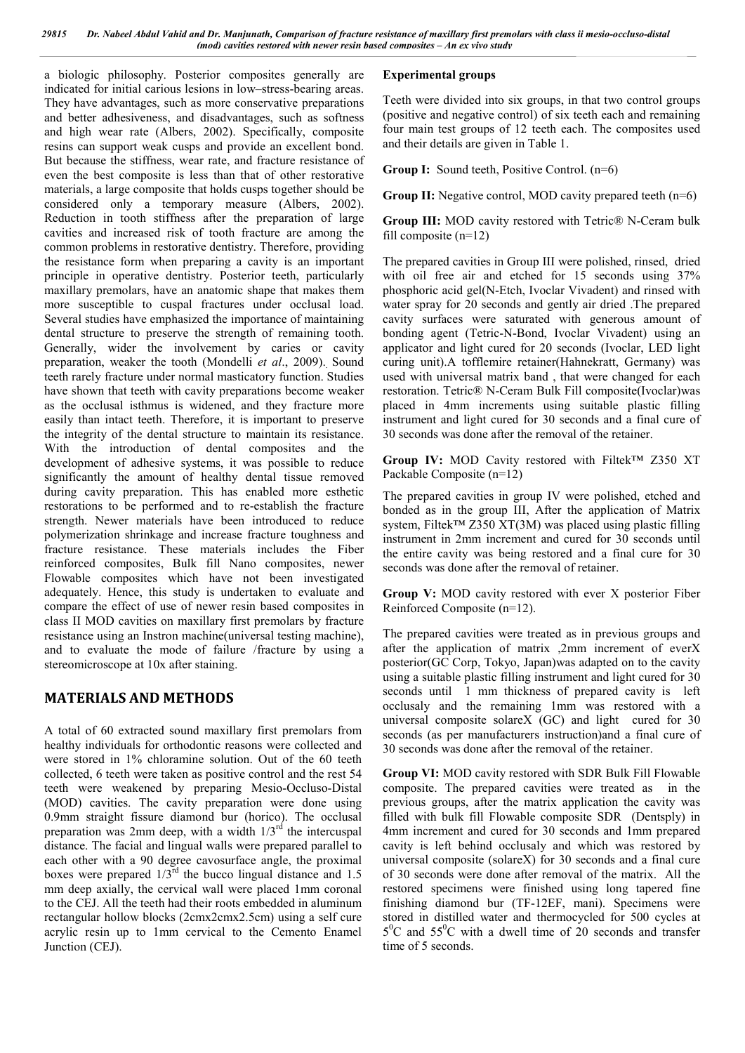a biologic philosophy. Posterior composites generally are indicated for initial carious lesions in low–stress-bearing areas. They have advantages, such as more conservative preparations and better adhesiveness, and disadvantages, such as softness and high wear rate (Albers, 2002). Specifically, composite resins can support weak cusps and provide an excellent bond. But because the stiffness, wear rate, and fracture resistance of even the best composite is less than that of other restorative materials, a large composite that holds cusps together should be considered only a temporary measure (Albers, 2002). Reduction in tooth stiffness after the preparation of large cavities and increased risk of tooth fracture are among the common problems in restorative dentistry. Therefore, providing the resistance form when preparing a cavity is an important principle in operative dentistry. Posterior teeth, particularly maxillary premolars, have an anatomic shape that makes them more susceptible to cuspal fractures under occlusal load. Several studies have emphasized the importance of maintaining dental structure to preserve the strength of remaining tooth. Generally, wider the involvement by caries or cavity preparation, weaker the tooth (Mondelli et al., 2009). Sound teeth rarely fracture under normal masticatory function. Studies have shown that teeth with cavity preparations become weaker as the occlusal isthmus is widened, and they fracture more easily than intact teeth. Therefore, it is important to preserve the integrity of the dental structure to maintain its resistance. With the introduction of dental composites and the development of adhesive systems, it was possible to reduce significantly the amount of healthy dental tissue removed during cavity preparation. This has enabled more esthetic restorations to be performed and to re-establish the fracture strength. Newer materials have been introduced to reduce polymerization shrinkage and increase fracture toughness and fracture resistance. These materials includes the Fiber reinforced composites, Bulk fill Nano composites, newer Flowable composites which have not been investigated adequately. Hence, this study is undertaken to evaluate and compare the effect of use of newer resin based composites in class II MOD cavities on maxillary first premolars by fracture resistance using an Instron machine(universal testing machine), and to evaluate the mode of failure /fracture by using a stereomicroscope at 10x after staining.

## **MATERIALS AND METHODS**

A total of 60 extracted sound maxillary first premolars from healthy individuals for orthodontic reasons were collected and were stored in 1% chloramine solution. Out of the 60 teeth collected, 6 teeth were taken as positive control and the rest 54 teeth were weakened by preparing Mesio-Occluso-Distal (MOD) cavities. The cavity preparation were done using 0.9mm straight fissure diamond bur (horico). The occlusal preparation was 2mm deep, with a width  $1/3<sup>rd</sup>$  the intercuspal distance. The facial and lingual walls were prepared parallel to each other with a 90 degree cavosurface angle, the proximal boxes were prepared  $1/3<sup>rd</sup>$  the bucco lingual distance and 1.5 mm deep axially, the cervical wall were placed 1mm coronal to the CEJ. All the teeth had their roots embedded in aluminum rectangular hollow blocks (2cmx2cmx2.5cm) using a self cure acrylic resin up to 1mm cervical to the Cemento Enamel Junction (CEJ).

#### **Experimental groups**

Teeth were divided into six groups, in that two control groups (positive and negative control) of six teeth each and remaining four main test groups of 12 teeth each. The composites used and their details are given in Table 1.

**Group I:** Sound teeth, Positive Control. (n=6)

**Group II:** Negative control, MOD cavity prepared teeth (n=6)

**Group III:** MOD cavity restored with Tetric® N-Ceram bulk fill composite (n=12)

The prepared cavities in Group III were polished, rinsed, dried with oil free air and etched for 15 seconds using  $37%$ phosphoric acid gel(N-Etch, Ivoclar Vivadent) and rinsed with water spray for 20 seconds and gently air dried .The prepared cavity surfaces were saturated with generous amount of bonding agent (Tetric-N-Bond, Ivoclar Vivadent) using an applicator and light cured for 20 seconds (Ivoclar, LED light curing unit).A tofflemire retainer(Hahnekratt, Germany) was used with universal matrix band , that were changed for each restoration. Tetric® N-Ceram Bulk Fill composite(Ivoclar)was placed in 4mm increments using suitable plastic filling instrument and light cured for 30 seconds and a final cure of 30 seconds was done after the removal of the retainer.

**Group IV:** MOD Cavity restored with Filtek™ Z350 XT Packable Composite (n=12)

The prepared cavities in group IV were polished, etched and bonded as in the group III, After the application of Matrix system, Filtek™ Z350 XT(3M) was placed using plastic filling instrument in 2mm increment and cured for 30 seconds until the entire cavity was being restored and a final cure for 30 seconds was done after the removal of retainer.

**Group V:** MOD cavity restored with ever X posterior Fiber Reinforced Composite (n=12).

The prepared cavities were treated as in previous groups and after the application of matrix ,2mm increment of everX posterior(GC Corp, Tokyo, Japan)was adapted on to the cavity using a suitable plastic filling instrument and light cured for 30 seconds until 1 mm thickness of prepared cavity is left occlusaly and the remaining 1mm was restored with a universal composite solareX (GC) and light cured for 30 seconds (as per manufacturers instruction)and a final cure of 30 seconds was done after the removal of the retainer.

**Group VI:** MOD cavity restored with SDR Bulk Fill Flowable composite. The prepared cavities were treated as in the previous groups, after the matrix application the cavity was filled with bulk fill Flowable composite SDR (Dentsply) in 4mm increment and cured for 30 seconds and 1mm prepared cavity is left behind occlusaly and which was restored by universal composite (solareX) for 30 seconds and a final cure of 30 seconds were done after removal of the matrix. All the restored specimens were finished using long tapered fine finishing diamond bur (TF-12EF, mani). Specimens were stored in distilled water and thermocycled for 500 cycles at  $5^0$ C and  $55^0$ C with a dwell time of 20 seconds and transfer time of 5 seconds.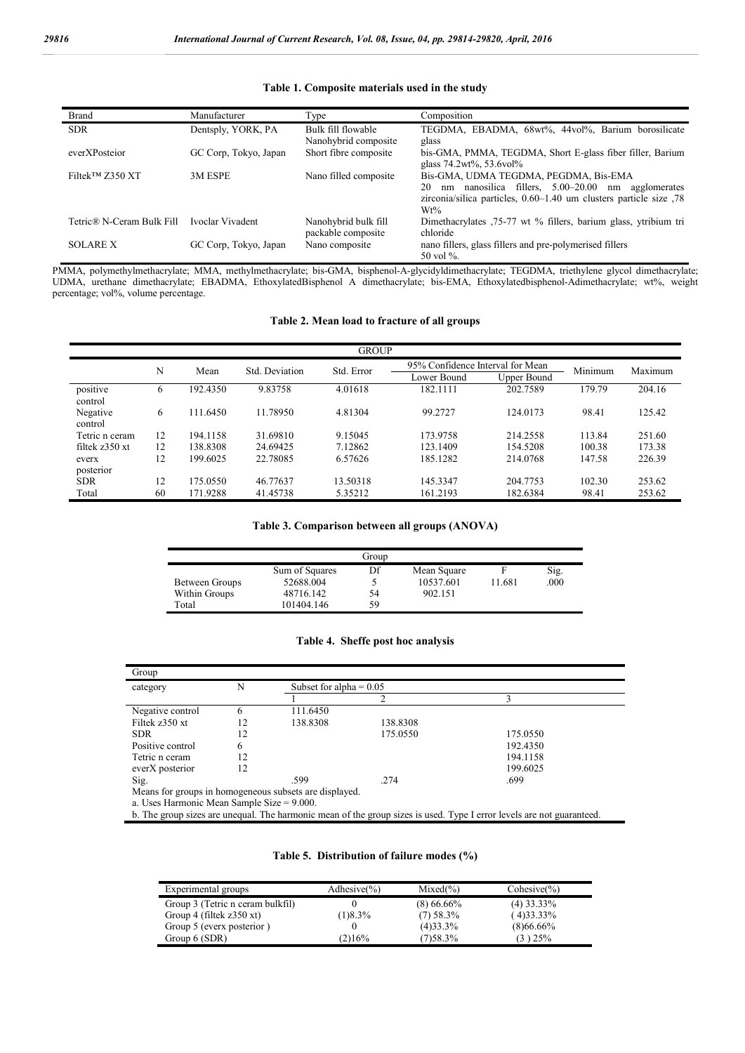|  | Table 1. Composite materials used in the study |  |  |  |
|--|------------------------------------------------|--|--|--|
|--|------------------------------------------------|--|--|--|

| <b>Brand</b>                    | Manufacturer          | Type                                       | Composition                                                                                                                                                                               |
|---------------------------------|-----------------------|--------------------------------------------|-------------------------------------------------------------------------------------------------------------------------------------------------------------------------------------------|
| <b>SDR</b>                      | Dentsply, YORK, PA    | Bulk fill flowable<br>Nanohybrid composite | TEGDMA, EBADMA, 68wt%, 44vol%, Barium borosilicate<br>glass                                                                                                                               |
| everXPosteior                   | GC Corp, Tokyo, Japan | Short fibre composite                      | bis-GMA, PMMA, TEGDMA, Short E-glass fiber filler, Barium<br>glass $74.2wt\%$ , $53.6vol\%$                                                                                               |
| Filtek <sup>TM</sup> $Z$ 350 XT | 3M ESPE               | Nano filled composite                      | Bis-GMA, UDMA TEGDMA, PEGDMA, Bis-EMA<br>nanosilica fillers, 5.00–20.00<br>20<br>agglomerates<br>nm<br>nm<br>zirconia/silica particles, 0.60–1.40 um clusters particle size .78<br>$Wt\%$ |
| Tetric® N-Ceram Bulk Fill       | Ivoclar Vivadent      | Nanohybrid bulk fill<br>packable composite | Dimethacrylates 75-77 wt % fillers, barium glass, ytribium tri<br>chloride                                                                                                                |
| <b>SOLARE X</b>                 | GC Corp, Tokyo, Japan | Nano composite                             | nano fillers, glass fillers and pre-polymerised fillers<br>50 vol $\%$ .                                                                                                                  |

PMMA, polymethylmethacrylate; MMA, methylmethacrylate; bis-GMA, bisphenol-A-glycidyldimethacrylate; TEGDMA, triethylene glycol dimethacrylate; UDMA, urethane dimethacrylate; EBADMA, EthoxylatedBisphenol A dimethacrylate; bis-EMA, Ethoxylatedbisphenol-Adimethacrylate; wt%, weight percentage; vol%, volume percentage.

### **Table 2. Mean load to fracture of all groups**

| <b>GROUP</b>        |    |          |                |            |             |                                  |         |         |
|---------------------|----|----------|----------------|------------|-------------|----------------------------------|---------|---------|
|                     | N  | Mean     | Std. Deviation | Std. Error |             | 95% Confidence Interval for Mean |         | Maximum |
|                     |    |          |                |            | Lower Bound | Upper Bound                      | Minimum |         |
| positive<br>control | 6  | 192.4350 | 9.83758        | 4.01618    | 182.1111    | 202.7589                         | 179.79  | 204.16  |
| Negative<br>control | 6  | 111.6450 | 11.78950       | 4.81304    | 99.2727     | 124.0173                         | 98.41   | 125.42  |
| Tetric n ceram      | 12 | 194.1158 | 31.69810       | 9.15045    | 173.9758    | 214.2558                         | 113.84  | 251.60  |
| filtek $z350$ xt    | 12 | 138.8308 | 24.69425       | 7.12862    | 123.1409    | 154.5208                         | 100.38  | 173.38  |
| everx<br>posterior  | 12 | 199.6025 | 22.78085       | 6.57626    | 185.1282    | 214,0768                         | 147.58  | 226.39  |
| <b>SDR</b>          | 12 | 175.0550 | 46.77637       | 13.50318   | 145.3347    | 204.7753                         | 102.30  | 253.62  |
| Total               | 60 | 171.9288 | 41.45738       | 5.35212    | 161.2193    | 182.6384                         | 98.41   | 253.62  |

#### **Table 3. Comparison between all groups (ANOVA)**

| Group          |                |    |             |        |      |  |
|----------------|----------------|----|-------------|--------|------|--|
|                | Sum of Squares | Df | Mean Square |        | Sig. |  |
| Between Groups | 52688.004      |    | 10537.601   | 11.681 | .000 |  |
| Within Groups  | 48716.142      | 54 | 902.151     |        |      |  |
| Total          | 101404.146     | 59 |             |        |      |  |

#### **Table 4. Sheffe post hoc analysis**

| Group                                                                                                                 |    |          |                           |          |  |
|-----------------------------------------------------------------------------------------------------------------------|----|----------|---------------------------|----------|--|
| category                                                                                                              | N  |          | Subset for alpha $= 0.05$ |          |  |
|                                                                                                                       |    |          | っ                         | ς        |  |
| Negative control                                                                                                      | 6  | 111.6450 |                           |          |  |
| Filtek z350 xt                                                                                                        | 12 | 138.8308 | 138.8308                  |          |  |
| <b>SDR</b>                                                                                                            | 12 |          | 175.0550                  | 175.0550 |  |
| Positive control                                                                                                      | 6  |          |                           | 192.4350 |  |
| Tetric n ceram                                                                                                        | 12 |          |                           | 194.1158 |  |
| everX posterior                                                                                                       | 12 |          |                           | 199.6025 |  |
| Sig.                                                                                                                  |    | .599     | .274                      | .699     |  |
| Means for groups in homogeneous subsets are displayed.                                                                |    |          |                           |          |  |
| a. Uses Harmonic Mean Sample Size $= 9.000$ .                                                                         |    |          |                           |          |  |
| b. The group sizes are unequal. The harmonic mean of the group sizes is used. Type I error levels are not guaranteed. |    |          |                           |          |  |

#### **Table 5. Distribution of failure modes (%)**

| Experimental groups              | Adhesive $(\% )$ | $Mixed\%$    | $Cohesive(\% )$ |
|----------------------------------|------------------|--------------|-----------------|
| Group 3 (Tetric n ceram bulkfil) |                  | $(8)$ 66.66% | $(4)$ 33.33%    |
| Group 4 (filtek $z350$ xt)       | (1)8.3%          | $(7)$ 58.3%  | $(4)33.33\%$    |
| Group 5 (everx posterior)        |                  | (4)33.3%     | $(8)66.66\%$    |
| Group 6 (SDR)                    | (2)16%           | $(7)$ 58.3%  | $(3)$ 25%       |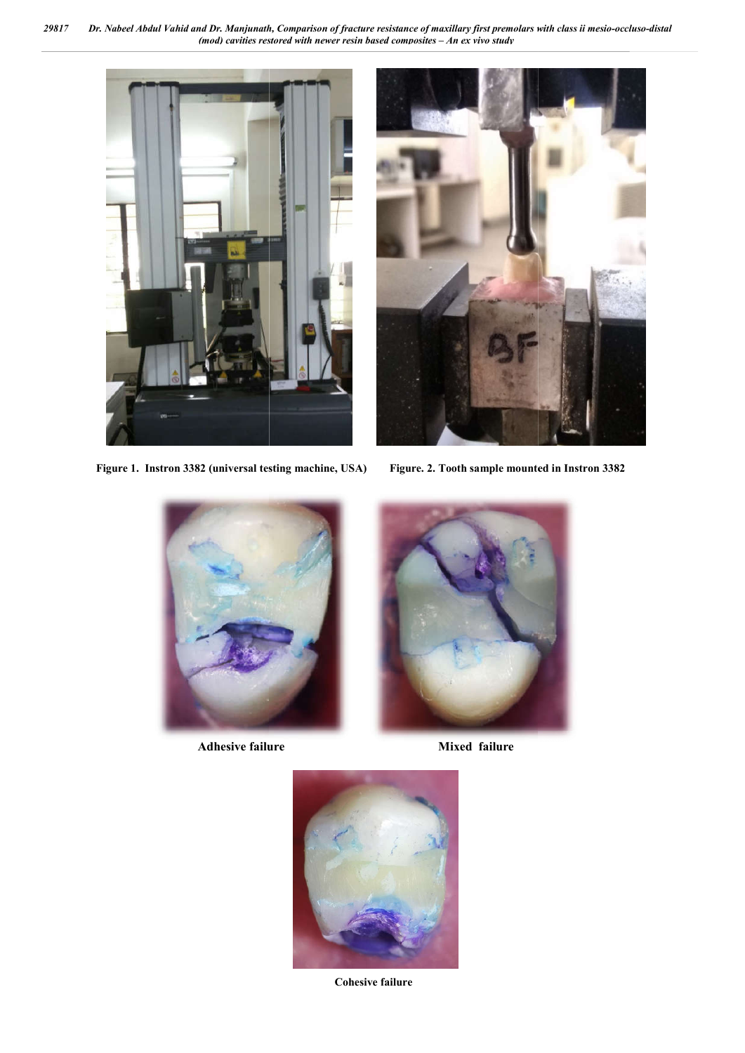*29817 Dr. Nabeel Abdul Vahid and Dr. Manjunath (mod) cavities restored with newer resin based composites Manjunath, Comparison of fracture resistance of maxillary first premolars with class ii mesio – An ex vivo study*



 **Figure 1. Instron 3382 (universal testing machine, USA)** 





**Adhesive failure** Mixed failure





**Cohesive failure**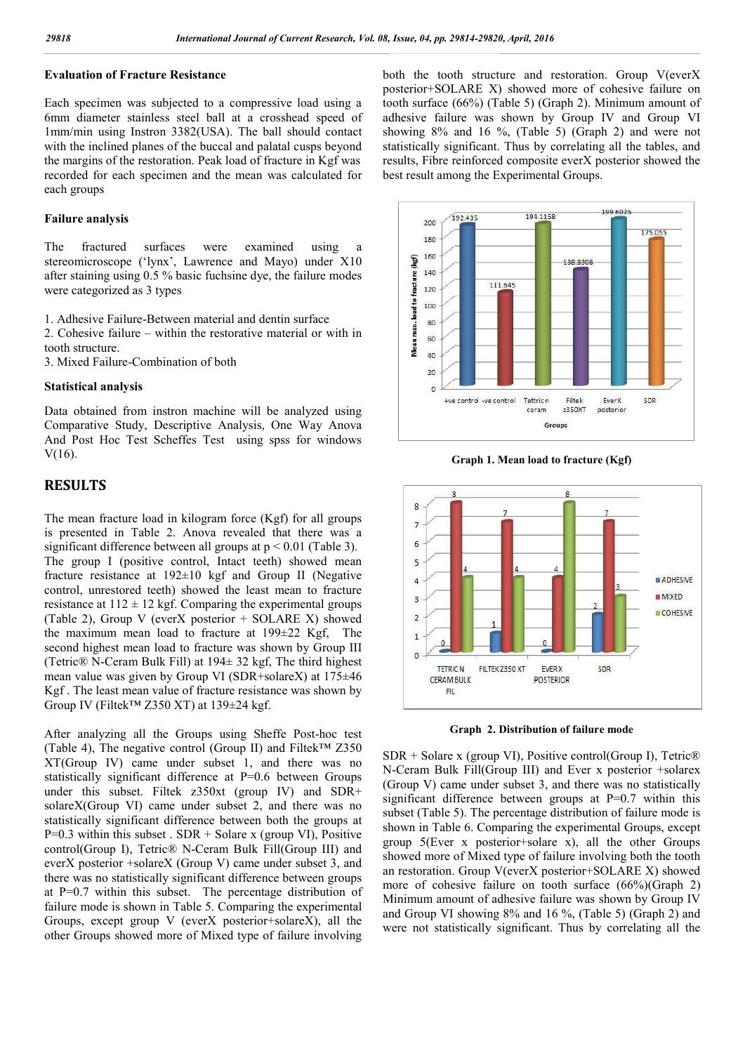#### **Evaluation of Fracture Resistance**

Each specimen was subjected to a compressive load using a 6mm diameter stainless steel ball at a crosshead speed of 1mm/min using Instron 3382(USA). The ball should contact with the inclined planes of the buccal and palatal cusps beyond the margins of the restoration. Peak load of fracture in Kgf was recorded for each specimen and the mean was calculated for each groups

#### **Failure analysis**

The fractured surfaces were examined using a stereomicroscope ('lynx', Lawrence and Mayo) under X10 after staining using 0.5 % basic fuchsine dye, the failure modes were categorized as 3 types

1. Adhesive Failure-Between material and dentin surface

2. Cohesive failure – within the restorative material or with in tooth structure.

3. Mixed Failure-Combination of both

#### **Statistical analysis**

Data obtained from instron machine will be analyzed using Comparative Study, Descriptive Analysis, One Way Anova And Post Hoc Test Scheffes Test using spss for windows V(16).

### **RESULTS**

The mean fracture load in kilogram force (Kgf) for all groups is presented in Table 2. Anova revealed that there was a significant difference between all groups at  $p \le 0.01$  (Table 3). The group I (positive control, Intact teeth) showed mean fracture resistance at 192±10 kgf and Group II (Negative control, unrestored teeth) showed the least mean to fracture resistance at  $112 \pm 12$  kgf. Comparing the experimental groups (Table 2), Group V (everX posterior + SOLARE X) showed the maximum mean load to fracture at 199±22 Kgf, The second highest mean load to fracture was shown by Group III (Tetric® N-Ceram Bulk Fill) at 194± 32 kgf, The third highest mean value was given by Group VI (SDR+solareX) at 175±46 Kgf . The least mean value of fracture resistance was shown by Group IV (Filtek™ Z350 XT) at 139±24 kgf.

After analyzing all the Groups using Sheffe Post-hoc test (Table 4). The negative control (Group II) and Filtek<sup>TM</sup>  $Z350$ XT(Group IV) came under subset 1, and there was no statistically significant difference at P=0.6 between Groups under this subset. Filtek z350xt (group IV) and SDR+ solareX(Group VI) came under subset 2, and there was no statistically significant difference between both the groups at  $P=0.3$  within this subset . SDR + Solare x (group VI), Positive control(Group I), Tetric® N-Ceram Bulk Fill(Group III) and everX posterior +solareX (Group V) came under subset 3, and there was no statistically significant difference between groups at P=0.7 within this subset. The percentage distribution of failure mode is shown in Table 5. Comparing the experimental Groups, except group V (everX posterior+solareX), all the other Groups showed more of Mixed type of failure involving both the tooth structure and restoration. Group V(everX posterior+SOLARE X) showed more of cohesive failure on tooth surface (66%) (Table 5) (Graph 2). Minimum amount of adhesive failure was shown by Group IV and Group VI showing 8% and 16 %, (Table 5) (Graph 2) and were not statistically significant. Thus by correlating all the tables, and results, Fibre reinforced composite everX posterior showed the best result among the Experimental Groups.



**Graph 1. Mean load to fracture (Kgf)**



**Graph 2. Distribution of failure mode**

SDR + Solare x (group VI), Positive control(Group I), Tetric® N-Ceram Bulk Fill(Group III) and Ever x posterior +solarex (Group V) came under subset 3, and there was no statistically significant difference between groups at P=0.7 within this subset (Table 5). The percentage distribution of failure mode is shown in Table 6. Comparing the experimental Groups, except group 5(Ever x posterior+solare x), all the other Groups showed more of Mixed type of failure involving both the tooth an restoration. Group V(everX posterior+SOLARE X) showed more of cohesive failure on tooth surface (66%)(Graph 2) Minimum amount of adhesive failure was shown by Group IV and Group VI showing 8% and 16 %, (Table 5) (Graph 2) and were not statistically significant. Thus by correlating all the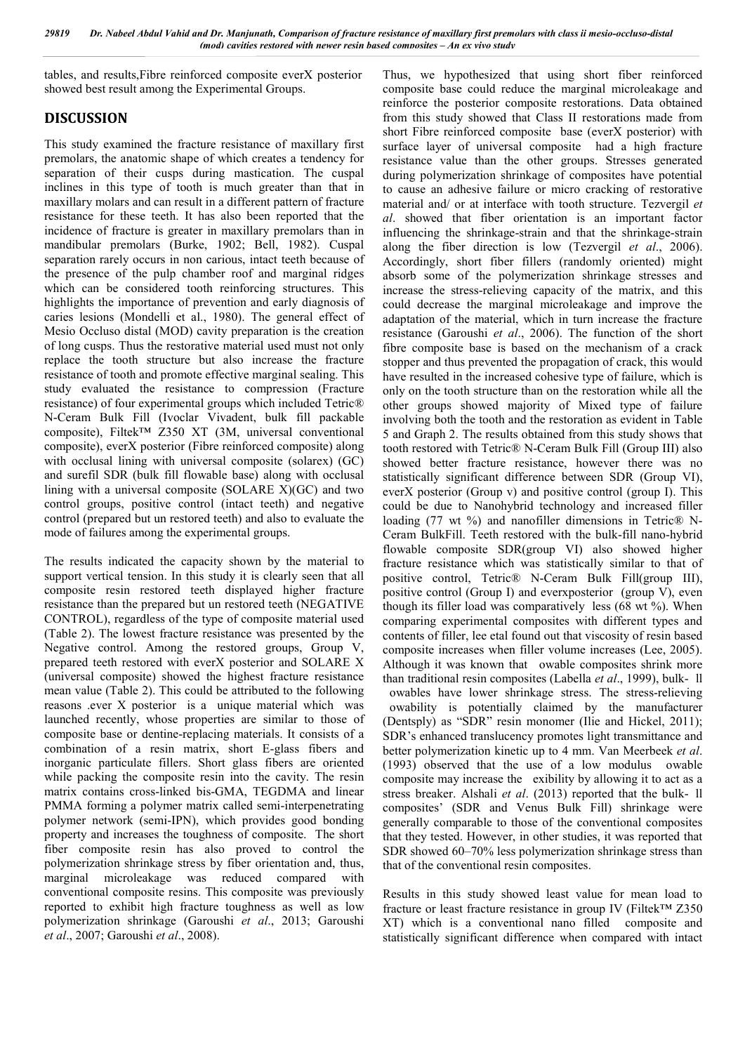tables, and results,Fibre reinforced composite everX posterior showed best result among the Experimental Groups.

## **DISCUSSION**

This study examined the fracture resistance of maxillary first premolars, the anatomic shape of which creates a tendency for separation of their cusps during mastication. The cuspal inclines in this type of tooth is much greater than that in maxillary molars and can result in a different pattern of fracture resistance for these teeth. It has also been reported that the incidence of fracture is greater in maxillary premolars than in mandibular premolars (Burke, 1902; Bell, 1982). Cuspal separation rarely occurs in non carious, intact teeth because of the presence of the pulp chamber roof and marginal ridges which can be considered tooth reinforcing structures. This highlights the importance of prevention and early diagnosis of caries lesions (Mondelli et al., 1980). The general effect of Mesio Occluso distal (MOD) cavity preparation is the creation of long cusps. Thus the restorative material used must not only replace the tooth structure but also increase the fracture resistance of tooth and promote effective marginal sealing. This study evaluated the resistance to compression (Fracture resistance) of four experimental groups which included Tetric® N-Ceram Bulk Fill (Ivoclar Vivadent, bulk fill packable composite), Filtek™ Z350 XT (3M, universal conventional composite), everX posterior (Fibre reinforced composite) along with occlusal lining with universal composite (solarex) (GC) and surefil SDR (bulk fill flowable base) along with occlusal lining with a universal composite (SOLARE X)(GC) and two control groups, positive control (intact teeth) and negative control (prepared but un restored teeth) and also to evaluate the mode of failures among the experimental groups.

The results indicated the capacity shown by the material to support vertical tension. In this study it is clearly seen that all composite resin restored teeth displayed higher fracture resistance than the prepared but un restored teeth (NEGATIVE CONTROL), regardless of the type of composite material used (Table 2). The lowest fracture resistance was presented by the Negative control. Among the restored groups, Group V, prepared teeth restored with everX posterior and SOLARE X (universal composite) showed the highest fracture resistance mean value (Table 2). This could be attributed to the following reasons .ever X posterior is a unique material which was launched recently, whose properties are similar to those of composite base or dentine-replacing materials. It consists of a combination of a resin matrix, short E-glass fibers and inorganic particulate fillers. Short glass fibers are oriented while packing the composite resin into the cavity. The resin matrix contains cross-linked bis-GMA, TEGDMA and linear PMMA forming a polymer matrix called semi-interpenetrating polymer network (semi-IPN), which provides good bonding property and increases the toughness of composite. The short fiber composite resin has also proved to control the polymerization shrinkage stress by fiber orientation and, thus, marginal microleakage was reduced compared with conventional composite resins. This composite was previously reported to exhibit high fracture toughness as well as low polymerization shrinkage (Garoushi *et al*., 2013; Garoushi *et al*., 2007; Garoushi *et al*., 2008).

Thus, we hypothesized that using short fiber reinforced composite base could reduce the marginal microleakage and reinforce the posterior composite restorations. Data obtained from this study showed that Class II restorations made from short Fibre reinforced composite base (everX posterior) with surface layer of universal composite had a high fracture resistance value than the other groups. Stresses generated during polymerization shrinkage of composites have potential to cause an adhesive failure or micro cracking of restorative material and/ or at interface with tooth structure. Tezvergil *et al*. showed that fiber orientation is an important factor influencing the shrinkage-strain and that the shrinkage-strain along the fiber direction is low (Tezvergil *et al*., 2006). Accordingly, short fiber fillers (randomly oriented) might absorb some of the polymerization shrinkage stresses and increase the stress-relieving capacity of the matrix, and this could decrease the marginal microleakage and improve the adaptation of the material, which in turn increase the fracture resistance (Garoushi *et al*., 2006). The function of the short fibre composite base is based on the mechanism of a crack stopper and thus prevented the propagation of crack, this would have resulted in the increased cohesive type of failure, which is only on the tooth structure than on the restoration while all the other groups showed majority of Mixed type of failure involving both the tooth and the restoration as evident in Table 5 and Graph 2. The results obtained from this study shows that tooth restored with Tetric® N-Ceram Bulk Fill (Group III) also showed better fracture resistance, however there was no statistically significant difference between SDR (Group VI), everX posterior (Group v) and positive control (group I). This could be due to Nanohybrid technology and increased filler loading (77 wt %) and nanofiller dimensions in Tetric® N-Ceram BulkFill. Teeth restored with the bulk-fill nano-hybrid flowable composite SDR(group VI) also showed higher fracture resistance which was statistically similar to that of positive control, Tetric® N-Ceram Bulk Fill(group III), positive control (Group I) and everxposterior (group V), even though its filler load was comparatively less (68 wt %). When comparing experimental composites with different types and contents of filler, lee etal found out that viscosity of resin based composite increases when filler volume increases (Lee, 2005). Although it was known that owable composites shrink more than traditional resin composites (Labella *et al*., 1999), bulk- ll

owables have lower shrinkage stress. The stress-relieving owability is potentially claimed by the manufacturer (Dentsply) as "SDR" resin monomer (Ilie and Hickel, 2011); SDR's enhanced translucency promotes light transmittance and better polymerization kinetic up to 4 mm. Van Meerbeek *et al*. (1993) observed that the use of a low modulus owable composite may increase the exibility by allowing it to act as a stress breaker. Alshali *et al*. (2013) reported that the bulk- ll composites' (SDR and Venus Bulk Fill) shrinkage were generally comparable to those of the conventional composites that they tested. However, in other studies, it was reported that SDR showed 60–70% less polymerization shrinkage stress than that of the conventional resin composites.

Results in this study showed least value for mean load to fracture or least fracture resistance in group IV (Filtek™ Z350 XT) which is a conventional nano filled composite and statistically significant difference when compared with intact